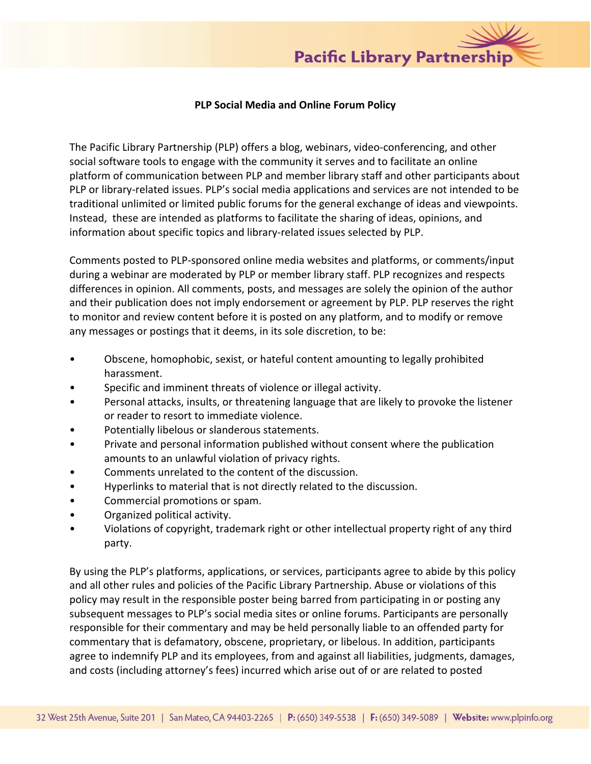

## **PLP Social Media and Online Forum Policy**

The Pacific Library Partnership (PLP) offers a blog, webinars, video-conferencing, and other social software tools to engage with the community it serves and to facilitate an online platform of communication between PLP and member library staff and other participants about PLP or library-related issues. PLP's social media applications and services are not intended to be traditional unlimited or limited public forums for the general exchange of ideas and viewpoints. Instead, these are intended as platforms to facilitate the sharing of ideas, opinions, and information about specific topics and library-related issues selected by PLP.

Comments posted to PLP-sponsored online media websites and platforms, or comments/input during a webinar are moderated by PLP or member library staff. PLP recognizes and respects differences in opinion. All comments, posts, and messages are solely the opinion of the author and their publication does not imply endorsement or agreement by PLP. PLP reserves the right to monitor and review content before it is posted on any platform, and to modify or remove any messages or postings that it deems, in its sole discretion, to be:

- Obscene, homophobic, sexist, or hateful content amounting to legally prohibited harassment.
- Specific and imminent threats of violence or illegal activity.
- Personal attacks, insults, or threatening language that are likely to provoke the listener or reader to resort to immediate violence.
- Potentially libelous or slanderous statements.
- Private and personal information published without consent where the publication amounts to an unlawful violation of privacy rights.
- Comments unrelated to the content of the discussion.
- Hyperlinks to material that is not directly related to the discussion.
- Commercial promotions or spam.
- Organized political activity.
- Violations of copyright, trademark right or other intellectual property right of any third party.

By using the PLP's platforms, applications, or services, participants agree to abide by this policy and all other rules and policies of the Pacific Library Partnership. Abuse or violations of this policy may result in the responsible poster being barred from participating in or posting any subsequent messages to PLP's social media sites or online forums. Participants are personally responsible for their commentary and may be held personally liable to an offended party for commentary that is defamatory, obscene, proprietary, or libelous. In addition, participants agree to indemnify PLP and its employees, from and against all liabilities, judgments, damages, and costs (including attorney's fees) incurred which arise out of or are related to posted